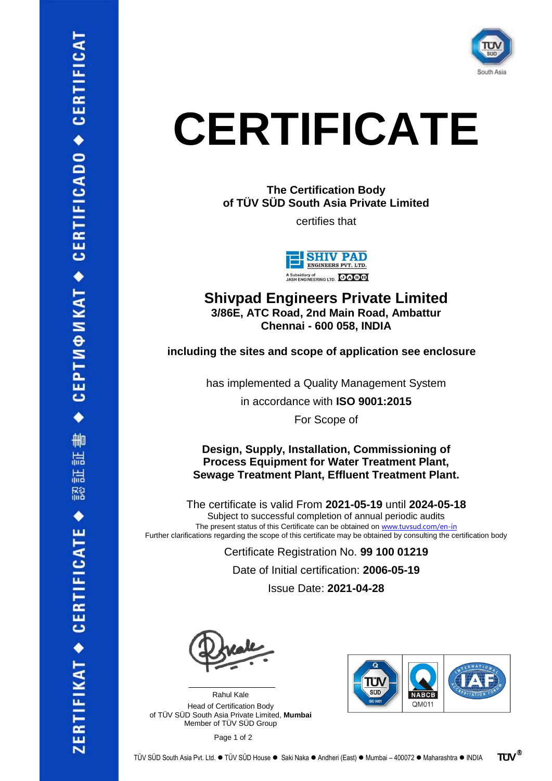

## **CERTIFICATE**

**The Certification Body of TÜV SÜD South Asia Private Limited**

certifies that



**Shivpad Engineers Private Limited 3/86E, ATC Road, 2nd Main Road, Ambattur Chennai - 600 058, INDIA**

**including the sites and scope of application see enclosure**

has implemented a Quality Management System

in accordance with **ISO 9001:2015**

For Scope of

**Design, Supply, Installation, Commissioning of Process Equipment for Water Treatment Plant, Sewage Treatment Plant, Effluent Treatment Plant.**

The certificate is valid From **2021-05-19** until **2024-05-18** Subject to successful completion of annual periodic audits The present status of this Certificate can be obtained on [www.tuvsud.com/en-in](https://www.tuvsud.com/en-in) Further clarifications regarding the scope of this certificate may be obtained by consulting the certification body

Certificate Registration No. **99 100 01219**

Date of Initial certification: **2006-05-19**

Issue Date: **2021-04-28**

 $\mathcal{L}$  , and the set of the set of the set of the set of the set of the set of the set of the set of the set of the set of the set of the set of the set of the set of the set of the set of the set of the set of the set

Rahul Kale Head of Certification Body of TÜV SÜD South Asia Private Limited, **Mumbai** Member of TÜV SÜD Group



Page 1 of 2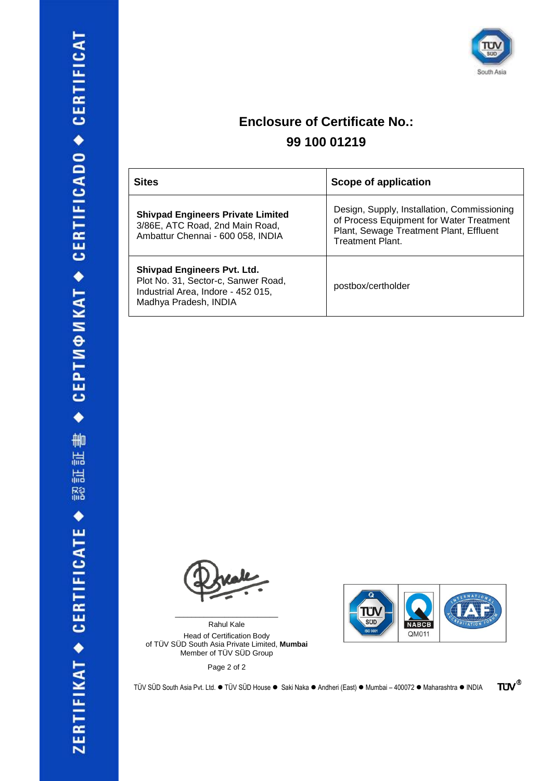

## **Enclosure of Certificate No.: 99 100 01219**

| <b>Sites</b>                                                                                                                             | <b>Scope of application</b>                                                                                                                                   |
|------------------------------------------------------------------------------------------------------------------------------------------|---------------------------------------------------------------------------------------------------------------------------------------------------------------|
| <b>Shivpad Engineers Private Limited</b><br>3/86E, ATC Road, 2nd Main Road,<br>Ambattur Chennai - 600 058, INDIA                         | Design, Supply, Installation, Commissioning<br>of Process Equipment for Water Treatment<br>Plant, Sewage Treatment Plant, Effluent<br><b>Treatment Plant.</b> |
| <b>Shivpad Engineers Pvt. Ltd.</b><br>Plot No. 31, Sector-c, Sanwer Road,<br>Industrial Area, Indore - 452 015,<br>Madhya Pradesh, INDIA | postbox/certholder                                                                                                                                            |

Rahul Kale Head of Certification Body of TÜV SÜD South Asia Private Limited, **Mumbai** Member of TÜV SÜD Group

\_\_\_\_\_\_\_\_\_\_\_\_\_\_\_\_\_\_\_\_\_\_\_\_\_

Page 2 of 2



**TÜV®** 

TÜV SÜD South Asia Pvt. Ltd. ⚫ TÜV SÜD House ⚫ Saki Naka ⚫ Andheri (East) ⚫ Mumbai – 400072 ⚫ Maharashtra ⚫ INDIA